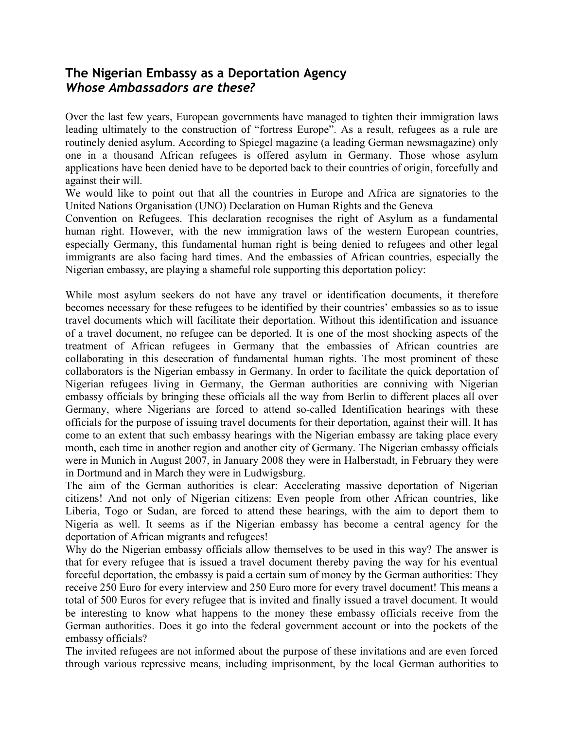## **The Nigerian Embassy as a Deportation Agency** *Whose Ambassadors are these?*

Over the last few years, European governments have managed to tighten their immigration laws leading ultimately to the construction of "fortress Europe". As a result, refugees as a rule are routinely denied asylum. According to Spiegel magazine (a leading German newsmagazine) only one in a thousand African refugees is offered asylum in Germany. Those whose asylum applications have been denied have to be deported back to their countries of origin, forcefully and against their will.

We would like to point out that all the countries in Europe and Africa are signatories to the United Nations Organisation (UNO) Declaration on Human Rights and the Geneva

Convention on Refugees. This declaration recognises the right of Asylum as a fundamental human right. However, with the new immigration laws of the western European countries, especially Germany, this fundamental human right is being denied to refugees and other legal immigrants are also facing hard times. And the embassies of African countries, especially the Nigerian embassy, are playing a shameful role supporting this deportation policy:

While most asylum seekers do not have any travel or identification documents, it therefore becomes necessary for these refugees to be identified by their countries' embassies so as to issue travel documents which will facilitate their deportation. Without this identification and issuance of a travel document, no refugee can be deported. It is one of the most shocking aspects of the treatment of African refugees in Germany that the embassies of African countries are collaborating in this desecration of fundamental human rights. The most prominent of these collaborators is the Nigerian embassy in Germany. In order to facilitate the quick deportation of Nigerian refugees living in Germany, the German authorities are conniving with Nigerian embassy officials by bringing these officials all the way from Berlin to different places all over Germany, where Nigerians are forced to attend so-called Identification hearings with these officials for the purpose of issuing travel documents for their deportation, against their will. It has come to an extent that such embassy hearings with the Nigerian embassy are taking place every month, each time in another region and another city of Germany. The Nigerian embassy officials were in Munich in August 2007, in January 2008 they were in Halberstadt, in February they were in Dortmund and in March they were in Ludwigsburg.

The aim of the German authorities is clear: Accelerating massive deportation of Nigerian citizens! And not only of Nigerian citizens: Even people from other African countries, like Liberia, Togo or Sudan, are forced to attend these hearings, with the aim to deport them to Nigeria as well. It seems as if the Nigerian embassy has become a central agency for the deportation of African migrants and refugees!

Why do the Nigerian embassy officials allow themselves to be used in this way? The answer is that for every refugee that is issued a travel document thereby paving the way for his eventual forceful deportation, the embassy is paid a certain sum of money by the German authorities: They receive 250 Euro for every interview and 250 Euro more for every travel document! This means a total of 500 Euros for every refugee that is invited and finally issued a travel document. It would be interesting to know what happens to the money these embassy officials receive from the German authorities. Does it go into the federal government account or into the pockets of the embassy officials?

The invited refugees are not informed about the purpose of these invitations and are even forced through various repressive means, including imprisonment, by the local German authorities to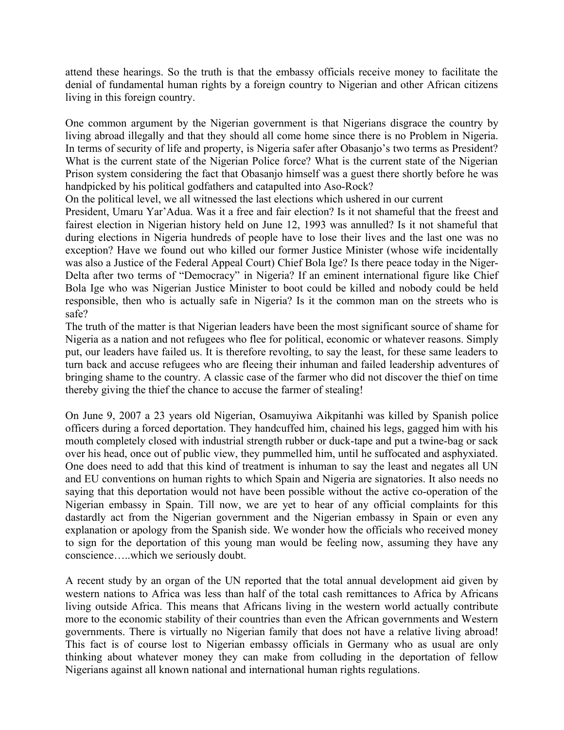attend these hearings. So the truth is that the embassy officials receive money to facilitate the denial of fundamental human rights by a foreign country to Nigerian and other African citizens living in this foreign country.

One common argument by the Nigerian government is that Nigerians disgrace the country by living abroad illegally and that they should all come home since there is no Problem in Nigeria. In terms of security of life and property, is Nigeria safer after Obasanjo's two terms as President? What is the current state of the Nigerian Police force? What is the current state of the Nigerian Prison system considering the fact that Obasanjo himself was a guest there shortly before he was handpicked by his political godfathers and catapulted into Aso-Rock?

On the political level, we all witnessed the last elections which ushered in our current

President, Umaru Yar'Adua. Was it a free and fair election? Is it not shameful that the freest and fairest election in Nigerian history held on June 12, 1993 was annulled? Is it not shameful that during elections in Nigeria hundreds of people have to lose their lives and the last one was no exception? Have we found out who killed our former Justice Minister (whose wife incidentally was also a Justice of the Federal Appeal Court) Chief Bola Ige? Is there peace today in the Niger-Delta after two terms of "Democracy" in Nigeria? If an eminent international figure like Chief Bola Ige who was Nigerian Justice Minister to boot could be killed and nobody could be held responsible, then who is actually safe in Nigeria? Is it the common man on the streets who is safe?

The truth of the matter is that Nigerian leaders have been the most significant source of shame for Nigeria as a nation and not refugees who flee for political, economic or whatever reasons. Simply put, our leaders have failed us. It is therefore revolting, to say the least, for these same leaders to turn back and accuse refugees who are fleeing their inhuman and failed leadership adventures of bringing shame to the country. A classic case of the farmer who did not discover the thief on time thereby giving the thief the chance to accuse the farmer of stealing!

On June 9, 2007 a 23 years old Nigerian, Osamuyiwa Aikpitanhi was killed by Spanish police officers during a forced deportation. They handcuffed him, chained his legs, gagged him with his mouth completely closed with industrial strength rubber or duck-tape and put a twine-bag or sack over his head, once out of public view, they pummelled him, until he suffocated and asphyxiated. One does need to add that this kind of treatment is inhuman to say the least and negates all UN and EU conventions on human rights to which Spain and Nigeria are signatories. It also needs no saying that this deportation would not have been possible without the active co-operation of the Nigerian embassy in Spain. Till now, we are yet to hear of any official complaints for this dastardly act from the Nigerian government and the Nigerian embassy in Spain or even any explanation or apology from the Spanish side. We wonder how the officials who received money to sign for the deportation of this young man would be feeling now, assuming they have any conscience…..which we seriously doubt.

A recent study by an organ of the UN reported that the total annual development aid given by western nations to Africa was less than half of the total cash remittances to Africa by Africans living outside Africa. This means that Africans living in the western world actually contribute more to the economic stability of their countries than even the African governments and Western governments. There is virtually no Nigerian family that does not have a relative living abroad! This fact is of course lost to Nigerian embassy officials in Germany who as usual are only thinking about whatever money they can make from colluding in the deportation of fellow Nigerians against all known national and international human rights regulations.